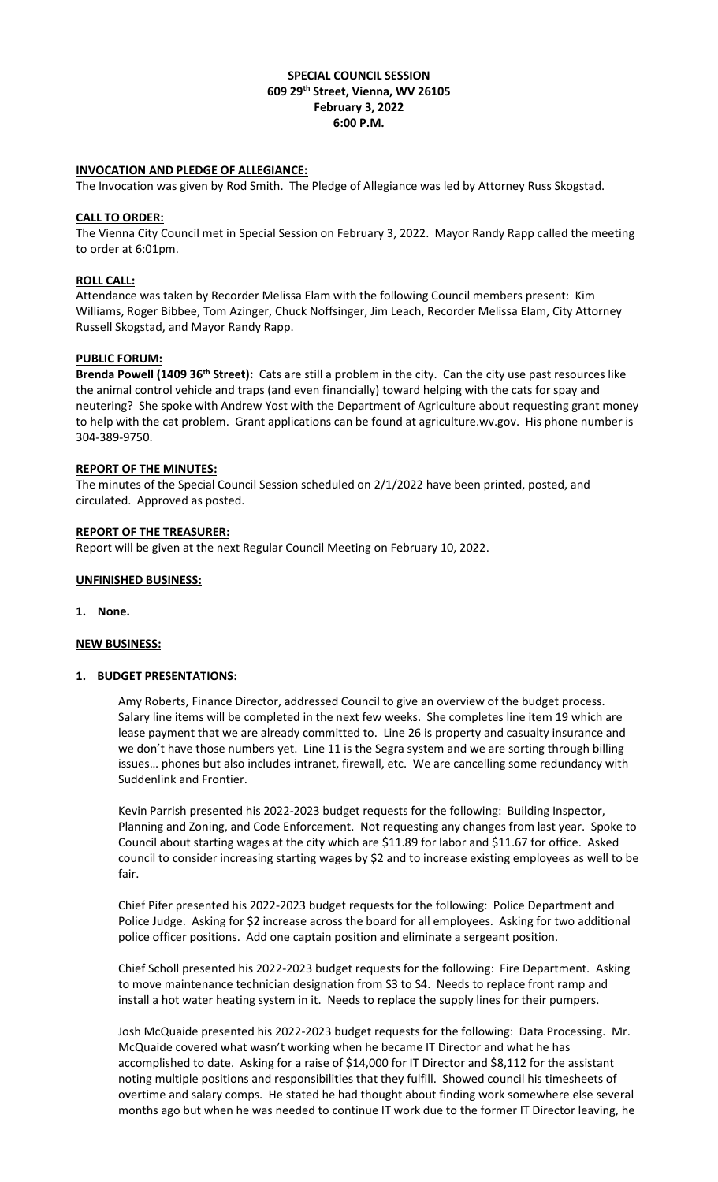## **SPECIAL COUNCIL SESSION 609 29th Street, Vienna, WV 26105 February 3, 2022 6:00 P.M.**

### **INVOCATION AND PLEDGE OF ALLEGIANCE:**

The Invocation was given by Rod Smith. The Pledge of Allegiance was led by Attorney Russ Skogstad.

### **CALL TO ORDER:**

The Vienna City Council met in Special Session on February 3, 2022. Mayor Randy Rapp called the meeting to order at 6:01pm.

### **ROLL CALL:**

Attendance was taken by Recorder Melissa Elam with the following Council members present: Kim Williams, Roger Bibbee, Tom Azinger, Chuck Noffsinger, Jim Leach, Recorder Melissa Elam, City Attorney Russell Skogstad, and Mayor Randy Rapp.

### **PUBLIC FORUM:**

**Brenda Powell (1409 36th Street):** Cats are still a problem in the city. Can the city use past resources like the animal control vehicle and traps (and even financially) toward helping with the cats for spay and neutering? She spoke with Andrew Yost with the Department of Agriculture about requesting grant money to help with the cat problem. Grant applications can be found at agriculture.wv.gov. His phone number is 304-389-9750.

### **REPORT OF THE MINUTES:**

The minutes of the Special Council Session scheduled on 2/1/2022 have been printed, posted, and circulated. Approved as posted.

### **REPORT OF THE TREASURER:**

Report will be given at the next Regular Council Meeting on February 10, 2022.

### **UNFINISHED BUSINESS:**

#### **1. None.**

#### **NEW BUSINESS:**

### **1. BUDGET PRESENTATIONS:**

Amy Roberts, Finance Director, addressed Council to give an overview of the budget process. Salary line items will be completed in the next few weeks. She completes line item 19 which are lease payment that we are already committed to. Line 26 is property and casualty insurance and we don't have those numbers yet. Line 11 is the Segra system and we are sorting through billing issues… phones but also includes intranet, firewall, etc. We are cancelling some redundancy with Suddenlink and Frontier.

Kevin Parrish presented his 2022-2023 budget requests for the following: Building Inspector, Planning and Zoning, and Code Enforcement. Not requesting any changes from last year. Spoke to Council about starting wages at the city which are \$11.89 for labor and \$11.67 for office. Asked council to consider increasing starting wages by \$2 and to increase existing employees as well to be fair.

Chief Pifer presented his 2022-2023 budget requests for the following: Police Department and Police Judge. Asking for \$2 increase across the board for all employees. Asking for two additional police officer positions. Add one captain position and eliminate a sergeant position.

Chief Scholl presented his 2022-2023 budget requests for the following: Fire Department. Asking to move maintenance technician designation from S3 to S4. Needs to replace front ramp and install a hot water heating system in it. Needs to replace the supply lines for their pumpers.

Josh McQuaide presented his 2022-2023 budget requests for the following: Data Processing. Mr. McQuaide covered what wasn't working when he became IT Director and what he has accomplished to date. Asking for a raise of \$14,000 for IT Director and \$8,112 for the assistant noting multiple positions and responsibilities that they fulfill. Showed council his timesheets of overtime and salary comps. He stated he had thought about finding work somewhere else several months ago but when he was needed to continue IT work due to the former IT Director leaving, he